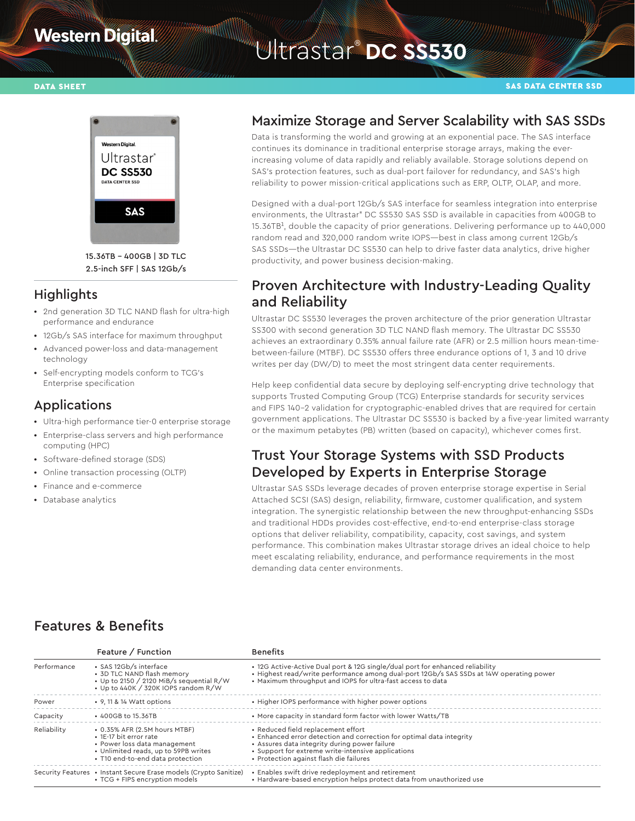# **Western Digital**

# Witrastar<sup>®</sup> DC SS530



15.36TB – 400GB | 3D TLC 2.5-inch SFF | SAS 12Gb/s

#### **Highlights**

- **•** 2nd generation 3D TLC NAND flash for ultra-high performance and endurance
- **•** 12Gb/s SAS interface for maximum throughput
- **•** Advanced power-loss and data-management technology
- **•** Self-encrypting models conform to TCG's Enterprise specification

#### Applications

- **•** Ultra-high performance tier-0 enterprise storage
- **•** Enterprise-class servers and high performance
- computing (HPC) **•** Software-defined storage (SDS)
- **•** Online transaction processing (OLTP)
- **•** Finance and e-commerce
- **•** Database analytics

#### Maximize Storage and Server Scalability with SAS SSDs

Data is transforming the world and growing at an exponential pace. The SAS interface continues its dominance in traditional enterprise storage arrays, making the everincreasing volume of data rapidly and reliably available. Storage solutions depend on SAS's protection features, such as dual-port failover for redundancy, and SAS's high reliability to power mission-critical applications such as ERP, OLTP, OLAP, and more.

Designed with a dual-port 12Gb/s SAS interface for seamless integration into enterprise environments, the Ultrastar® DC SS530 SAS SSD is available in capacities from 400GB to 15.36TB<sup>1</sup>, double the capacity of prior generations. Delivering performance up to 440,000 random read and 320,000 random write IOPS—best in class among current 12Gb/s SAS SSDs—the Ultrastar DC SS530 can help to drive faster data analytics, drive higher productivity, and power business decision-making.

## Proven Architecture with Industry-Leading Quality and Reliability

Ultrastar DC SS530 leverages the proven architecture of the prior generation Ultrastar SS300 with second generation 3D TLC NAND flash memory. The Ultrastar DC SS530 achieves an extraordinary 0.35% annual failure rate (AFR) or 2.5 million hours mean-timebetween-failure (MTBF). DC SS530 offers three endurance options of 1, 3 and 10 drive writes per day (DW/D) to meet the most stringent data center requirements.

Help keep confidential data secure by deploying self-encrypting drive technology that supports Trusted Computing Group (TCG) Enterprise standards for security services and FIPS 140-2 validation for cryptographic-enabled drives that are required for certain government applications. The Ultrastar DC SS530 is backed by a five-year limited warranty or the maximum petabytes (PB) written (based on capacity), whichever comes first.

### Trust Your Storage Systems with SSD Products Developed by Experts in Enterprise Storage

Ultrastar SAS SSDs leverage decades of proven enterprise storage expertise in Serial Attached SCSI (SAS) design, reliability, firmware, customer qualification, and system integration. The synergistic relationship between the new throughput-enhancing SSDs and traditional HDDs provides cost-effective, end-to-end enterprise-class storage options that deliver reliability, compatibility, capacity, cost savings, and system performance. This combination makes Ultrastar storage drives an ideal choice to help meet escalating reliability, endurance, and performance requirements in the most demanding data center environments.

### Features & Benefits

|             | Feature / Function                                                                                                                                                  | <b>Benefits</b>                                                                                                                                                                                                                                              |
|-------------|---------------------------------------------------------------------------------------------------------------------------------------------------------------------|--------------------------------------------------------------------------------------------------------------------------------------------------------------------------------------------------------------------------------------------------------------|
| Performance | • SAS 12Gb/s interface<br>• 3D TLC NAND flash memory<br>• Up to 2150 / 2120 MiB/s sequential R/W<br>• Up to 440K / 320K IOPS random R/W                             | • 12G Active-Active Dual port & 12G single/dual port for enhanced reliability<br>• Highest read/write performance among dual-port 12Gb/s SAS SSDs at 14W operating power<br>• Maximum throughput and IOPS for ultra-fast access to data                      |
| Power       | • 9, 11 & 14 Watt options                                                                                                                                           | • Higher IOPS performance with higher power options                                                                                                                                                                                                          |
| Capacity    | • 400GB to 15.36TB                                                                                                                                                  | • More capacity in standard form factor with lower Watts/TB                                                                                                                                                                                                  |
| Reliability | • 0.35% AFR (2.5M hours MTBF)<br>• 1E-17 bit error rate<br>• Power loss data management<br>• Unlimited reads, up to 59PB writes<br>• T10 end-to-end data protection | • Reduced field replacement effort<br>• Enhanced error detection and correction for optimal data integrity<br>• Assures data integrity during power failure<br>• Support for extreme write-intensive applications<br>• Protection against flash die failures |
|             | Security Features • Instant Secure Erase models (Crypto Sanitize)<br>• TCG + FIPS encryption models                                                                 | • Enables swift drive redeployment and retirement<br>• Hardware-based encryption helps protect data from unauthorized use                                                                                                                                    |